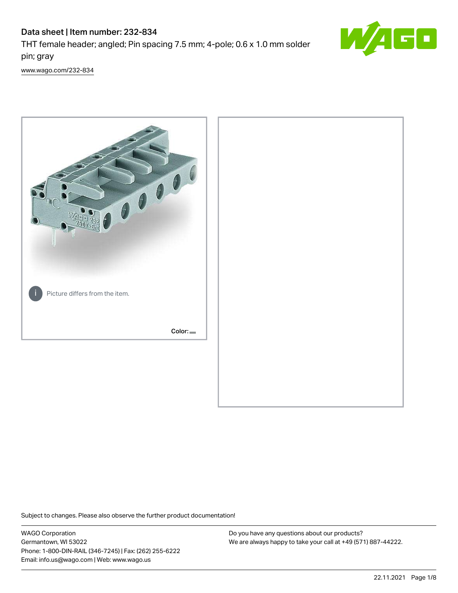# Data sheet | Item number: 232-834

THT female header; angled; Pin spacing 7.5 mm; 4-pole; 0.6 x 1.0 mm solder pin; gray



[www.wago.com/232-834](http://www.wago.com/232-834)



Subject to changes. Please also observe the further product documentation!

WAGO Corporation Germantown, WI 53022 Phone: 1-800-DIN-RAIL (346-7245) | Fax: (262) 255-6222 Email: info.us@wago.com | Web: www.wago.us

Do you have any questions about our products? We are always happy to take your call at +49 (571) 887-44222.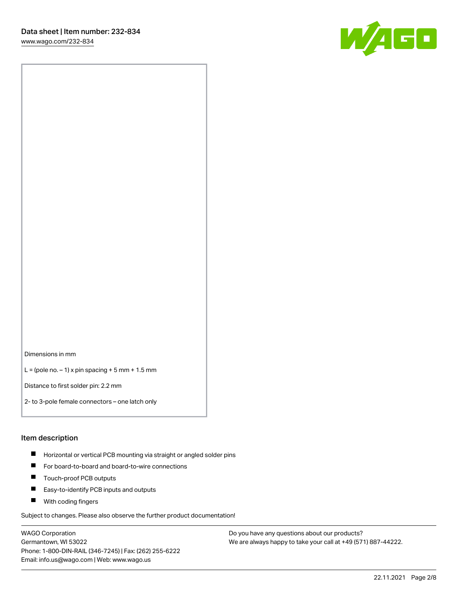W/1EE

Dimensions in mm

 $L =$  (pole no.  $-1$ ) x pin spacing  $+5$  mm  $+ 1.5$  mm

Distance to first solder pin: 2.2 mm

2- to 3-pole female connectors – one latch only

#### Item description

- **Horizontal or vertical PCB mounting via straight or angled solder pins**
- For board-to-board and board-to-wire connections
- $\blacksquare$ Touch-proof PCB outputs
- $\blacksquare$ Easy-to-identify PCB inputs and outputs
- **Now With coding fingers**

Subject to changes. Please also observe the further product documentation!

WAGO Corporation Germantown, WI 53022 Phone: 1-800-DIN-RAIL (346-7245) | Fax: (262) 255-6222 Email: info.us@wago.com | Web: www.wago.us

Do you have any questions about our products? We are always happy to take your call at +49 (571) 887-44222.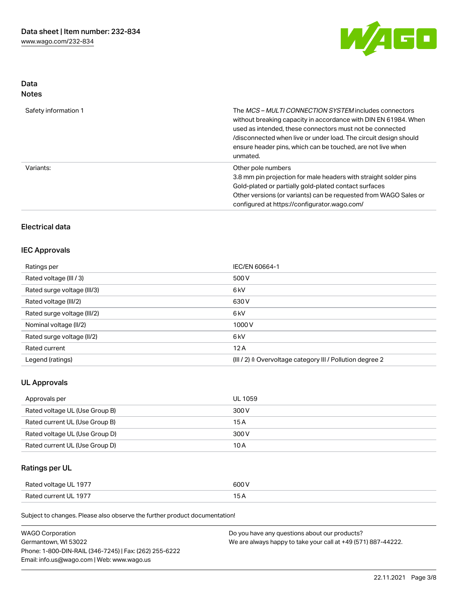

## Data Notes

| Safety information 1 | The <i>MCS – MULTI CONNECTION SYSTEM</i> includes connectors<br>without breaking capacity in accordance with DIN EN 61984. When<br>used as intended, these connectors must not be connected<br>/disconnected when live or under load. The circuit design should<br>ensure header pins, which can be touched, are not live when<br>unmated. |
|----------------------|--------------------------------------------------------------------------------------------------------------------------------------------------------------------------------------------------------------------------------------------------------------------------------------------------------------------------------------------|
| Variants:            | Other pole numbers<br>3.8 mm pin projection for male headers with straight solder pins<br>Gold-plated or partially gold-plated contact surfaces<br>Other versions (or variants) can be requested from WAGO Sales or<br>configured at https://configurator.wago.com/                                                                        |

## Electrical data

### IEC Approvals

| Ratings per                 | IEC/EN 60664-1                                                       |
|-----------------------------|----------------------------------------------------------------------|
| Rated voltage (III / 3)     | 500 V                                                                |
| Rated surge voltage (III/3) | 6 <sub>k</sub> V                                                     |
| Rated voltage (III/2)       | 630 V                                                                |
| Rated surge voltage (III/2) | 6 <sub>k</sub> V                                                     |
| Nominal voltage (II/2)      | 1000V                                                                |
| Rated surge voltage (II/2)  | 6 <sub>k</sub> V                                                     |
| Rated current               | 12A                                                                  |
| Legend (ratings)            | (III / 2) $\triangleq$ Overvoltage category III / Pollution degree 2 |

### UL Approvals

| Approvals per                  | <b>UL 1059</b> |
|--------------------------------|----------------|
| Rated voltage UL (Use Group B) | 300 V          |
| Rated current UL (Use Group B) | 15 A           |
| Rated voltage UL (Use Group D) | 300 V          |
| Rated current UL (Use Group D) | 10 A           |

# Ratings per UL

| Rated voltage UL 1977 | 600 V |
|-----------------------|-------|
| Rated current UL 1977 |       |

| <b>WAGO Corporation</b>                                | Do you have any questions about our products?                 |
|--------------------------------------------------------|---------------------------------------------------------------|
| Germantown, WI 53022                                   | We are always happy to take your call at +49 (571) 887-44222. |
| Phone: 1-800-DIN-RAIL (346-7245)   Fax: (262) 255-6222 |                                                               |
| Email: info.us@wago.com   Web: www.wago.us             |                                                               |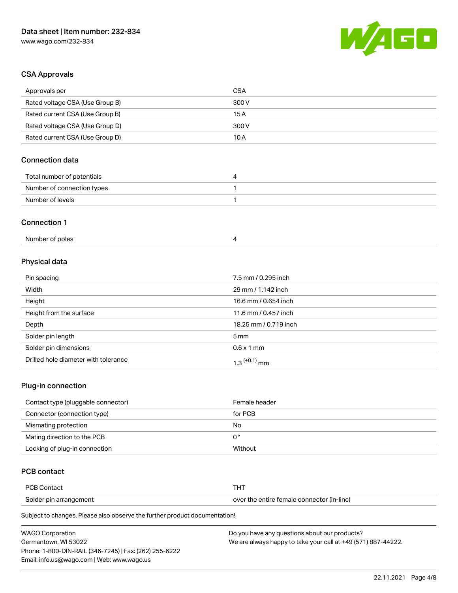

## CSA Approvals

| Approvals per                   | <b>CSA</b>            |
|---------------------------------|-----------------------|
| Rated voltage CSA (Use Group B) | 300V                  |
| Rated current CSA (Use Group B) | 15A                   |
| Rated voltage CSA (Use Group D) | 300V                  |
| Rated current CSA (Use Group D) | 10A                   |
| <b>Connection data</b>          |                       |
| Total number of potentials      | $\overline{4}$        |
| Number of connection types      | 1                     |
| Number of levels                | 1                     |
| <b>Connection 1</b>             |                       |
| Number of poles                 | 4                     |
| Physical data                   |                       |
| Pin spacing                     | 7.5 mm / 0.295 inch   |
| Width                           | 29 mm / 1.142 inch    |
| Height                          | 16.6 mm / 0.654 inch  |
| Height from the surface         | 11.6 mm / 0.457 inch  |
| Depth                           | 18.25 mm / 0.719 inch |
| Caldernin Langth                | E maine               |

| Solder pin length                    | 5 mm                      |
|--------------------------------------|---------------------------|
| Solder pin dimensions                | $0.6 \times 1 \text{ mm}$ |
| Drilled hole diameter with tolerance | $1.3$ $(+0.1)$ mm         |

### Plug-in connection

| Contact type (pluggable connector) | Female header |
|------------------------------------|---------------|
| Connector (connection type)        | for PCB       |
| Mismating protection               | No            |
| Mating direction to the PCB        | 0°            |
| Locking of plug-in connection      | Without       |

## PCB contact

| <b>PCB Contact</b>     |                                            |
|------------------------|--------------------------------------------|
| Solder pin arrangement | over the entire female connector (in-line) |

| <b>WAGO Corporation</b>                                | Do you have any questions about our products?                 |
|--------------------------------------------------------|---------------------------------------------------------------|
| Germantown. WI 53022                                   | We are always happy to take your call at +49 (571) 887-44222. |
| Phone: 1-800-DIN-RAIL (346-7245)   Fax: (262) 255-6222 |                                                               |
| Email: info.us@wago.com   Web: www.wago.us             |                                                               |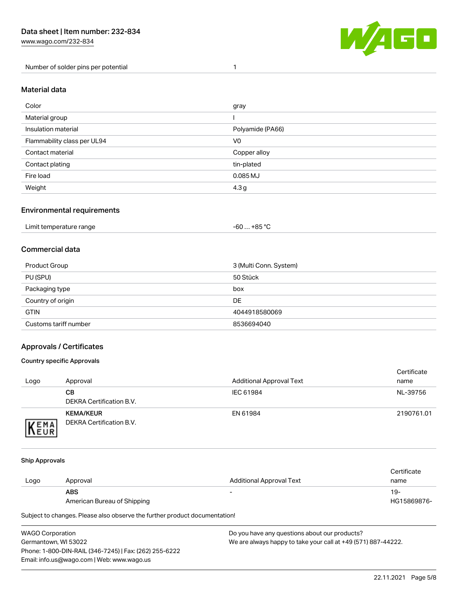[www.wago.com/232-834](http://www.wago.com/232-834)

Number of solder pins per potential 1



### Material data

| Color                       | gray             |
|-----------------------------|------------------|
| Material group              |                  |
| Insulation material         | Polyamide (PA66) |
| Flammability class per UL94 | V <sub>0</sub>   |
| Contact material            | Copper alloy     |
| Contact plating             | tin-plated       |
| Fire load                   | 0.085 MJ         |
| Weight                      | 4.3 <sub>g</sub> |

### Environmental requirements

| Limit temperature range | -60  +85 °Ր<br>___ |
|-------------------------|--------------------|
|-------------------------|--------------------|

### Commercial data

| Product Group         | 3 (Multi Conn. System) |
|-----------------------|------------------------|
| PU (SPU)              | 50 Stück               |
| Packaging type        | box                    |
| Country of origin     | <b>DE</b>              |
| <b>GTIN</b>           | 4044918580069          |
| Customs tariff number | 8536694040             |

### Approvals / Certificates

#### Country specific Approvals

| Logo                | Approval                                            | <b>Additional Approval Text</b> | Certificate<br>name |
|---------------------|-----------------------------------------------------|---------------------------------|---------------------|
|                     | CВ<br>DEKRA Certification B.V.                      | IEC 61984                       | NL-39756            |
| EMA<br><b>INEUR</b> | <b>KEMA/KEUR</b><br><b>DEKRA Certification B.V.</b> | EN 61984                        | 2190761.01          |

#### Ship Approvals

|      |                             |                          | Certificate |
|------|-----------------------------|--------------------------|-------------|
| Logo | Approval                    | Additional Approval Text | name        |
|      | ABS                         | $\sim$                   | 19-         |
|      | American Bureau of Shipping |                          | HG15869876- |

| <b>WAGO Corporation</b>                                | Do you have any questions about our products?                 |
|--------------------------------------------------------|---------------------------------------------------------------|
| Germantown, WI 53022                                   | We are always happy to take your call at +49 (571) 887-44222. |
| Phone: 1-800-DIN-RAIL (346-7245)   Fax: (262) 255-6222 |                                                               |
| Email: info.us@wago.com   Web: www.wago.us             |                                                               |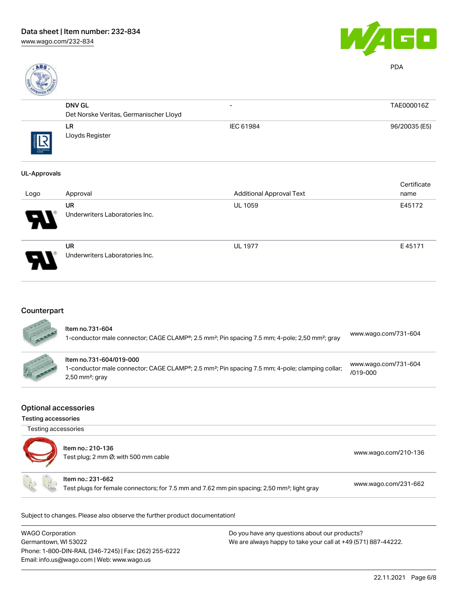



PDA

| ROVED     |                                        |                          |               |
|-----------|----------------------------------------|--------------------------|---------------|
|           | <b>DNV GL</b>                          | $\overline{\phantom{0}}$ | TAE000016Z    |
|           | Det Norske Veritas, Germanischer Lloyd |                          |               |
| THE ARROW | LR<br>Lloyds Register                  | IEC 61984                | 96/20035 (E5) |

#### UL-Approvals

| Logo | Approval                                    | <b>Additional Approval Text</b> | Certificate<br>name |
|------|---------------------------------------------|---------------------------------|---------------------|
| R    | <b>UR</b><br>Underwriters Laboratories Inc. | <b>UL 1059</b>                  | E45172              |
| 8    | <b>UR</b><br>Underwriters Laboratories Inc. | <b>UL 1977</b>                  | E45171              |

## **Counterpart**

SEE AND

| ltem no.731-604<br>1-conductor male connector; CAGE CLAMP®; 2.5 mm <sup>2</sup> ; Pin spacing 7.5 mm; 4-pole; 2,50 mm <sup>2</sup> ; gray                               | www.wago.com/731-604                 |
|-------------------------------------------------------------------------------------------------------------------------------------------------------------------------|--------------------------------------|
| Item no.731-604/019-000<br>1-conductor male connector; CAGE CLAMP®; 2.5 mm <sup>2</sup> ; Pin spacing 7.5 mm; 4-pole; clamping collar;<br>$2,50$ mm <sup>2</sup> ; gray | www.wago.com/731-604<br>$/019 - 000$ |

#### Optional accessories

Testing accessories

| Testing accessories | Item no.: 210-136<br>Test plug; 2 mm Ø; with 500 mm cable                                                                    | www.wago.com/210-136 |
|---------------------|------------------------------------------------------------------------------------------------------------------------------|----------------------|
|                     | Item no.: 231-662<br>Test plugs for female connectors; for 7.5 mm and 7.62 mm pin spacing; 2,50 mm <sup>2</sup> ; light gray | www.wago.com/231-662 |

| <b>WAGO Corporation</b>                                | Do you have any questions about our products?                 |
|--------------------------------------------------------|---------------------------------------------------------------|
| Germantown, WI 53022                                   | We are always happy to take your call at +49 (571) 887-44222. |
| Phone: 1-800-DIN-RAIL (346-7245)   Fax: (262) 255-6222 |                                                               |
| Email: info.us@wago.com   Web: www.wago.us             |                                                               |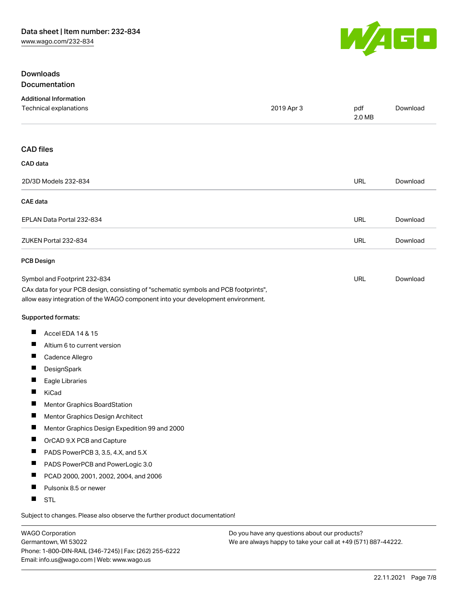

### Downloads Documentation

|                      | <b>Additional Information</b>                                                                                                                                          |            |               |          |
|----------------------|------------------------------------------------------------------------------------------------------------------------------------------------------------------------|------------|---------------|----------|
|                      | Technical explanations                                                                                                                                                 | 2019 Apr 3 | pdf<br>2.0 MB | Download |
| <b>CAD files</b>     |                                                                                                                                                                        |            |               |          |
| CAD data             |                                                                                                                                                                        |            |               |          |
|                      | 2D/3D Models 232-834                                                                                                                                                   |            | <b>URL</b>    | Download |
| <b>CAE</b> data      |                                                                                                                                                                        |            |               |          |
|                      | EPLAN Data Portal 232-834                                                                                                                                              |            | <b>URL</b>    | Download |
| ZUKEN Portal 232-834 |                                                                                                                                                                        |            | <b>URL</b>    | Download |
| <b>PCB Design</b>    |                                                                                                                                                                        |            |               |          |
|                      | Symbol and Footprint 232-834                                                                                                                                           |            | <b>URL</b>    | Download |
|                      | CAx data for your PCB design, consisting of "schematic symbols and PCB footprints",<br>allow easy integration of the WAGO component into your development environment. |            |               |          |
|                      | Supported formats:                                                                                                                                                     |            |               |          |
| ш                    | Accel EDA 14 & 15                                                                                                                                                      |            |               |          |
| ш                    | Altium 6 to current version                                                                                                                                            |            |               |          |
| ш                    | Cadence Allegro                                                                                                                                                        |            |               |          |
| ш                    | DesignSpark                                                                                                                                                            |            |               |          |
| ш                    | Eagle Libraries                                                                                                                                                        |            |               |          |
| П                    | KiCad                                                                                                                                                                  |            |               |          |
| ш                    | Mentor Graphics BoardStation                                                                                                                                           |            |               |          |
| ш                    | Mentor Graphics Design Architect                                                                                                                                       |            |               |          |
| ш                    | Mentor Graphics Design Expedition 99 and 2000                                                                                                                          |            |               |          |
| ш                    | OrCAD 9.X PCB and Capture                                                                                                                                              |            |               |          |
| ш                    | PADS PowerPCB 3, 3.5, 4.X, and 5.X                                                                                                                                     |            |               |          |
| ш                    | PADS PowerPCB and PowerLogic 3.0                                                                                                                                       |            |               |          |
| ш                    | PCAD 2000, 2001, 2002, 2004, and 2006                                                                                                                                  |            |               |          |
| ш                    | Pulsonix 8.5 or newer                                                                                                                                                  |            |               |          |
| H.                   | <b>STL</b>                                                                                                                                                             |            |               |          |
|                      |                                                                                                                                                                        |            |               |          |

Subject to changes. Please also observe the further product documentation!

WAGO Corporation Germantown, WI 53022 Phone: 1-800-DIN-RAIL (346-7245) | Fax: (262) 255-6222 Email: info.us@wago.com | Web: www.wago.us

Do you have any questions about our products? We are always happy to take your call at +49 (571) 887-44222.